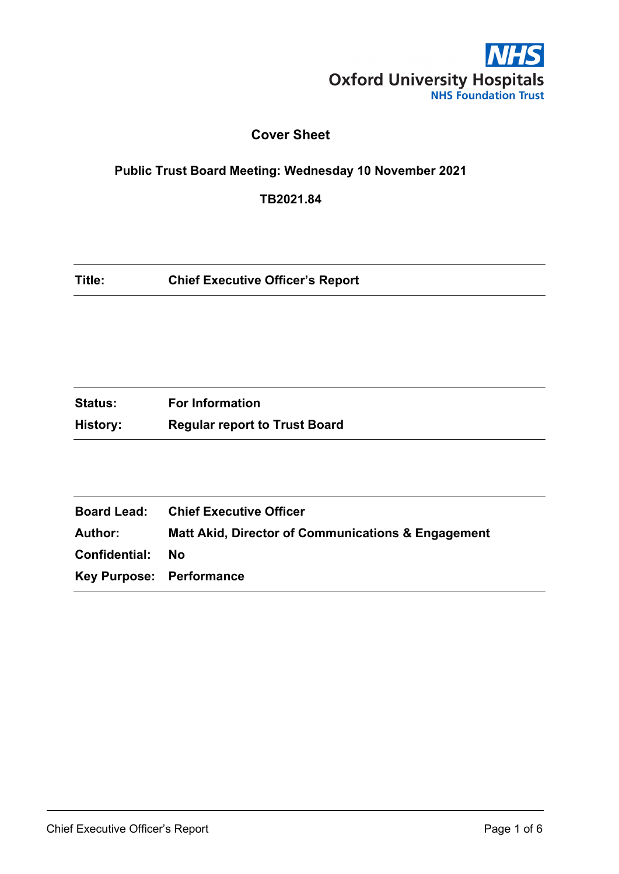

# **Cover Sheet**

# **Public Trust Board Meeting: Wednesday 10 November 2021**

**TB2021.84**

| Title: | <b>Chief Executive Officer's Report</b> |
|--------|-----------------------------------------|
|--------|-----------------------------------------|

| <b>Status:</b> | <b>For Information</b>               |
|----------------|--------------------------------------|
| History:       | <b>Regular report to Trust Board</b> |

|                                 | <b>Board Lead: Chief Executive Officer</b>                    |
|---------------------------------|---------------------------------------------------------------|
| Author:                         | <b>Matt Akid, Director of Communications &amp; Engagement</b> |
| Confidential:                   | Nο                                                            |
| <b>Key Purpose: Performance</b> |                                                               |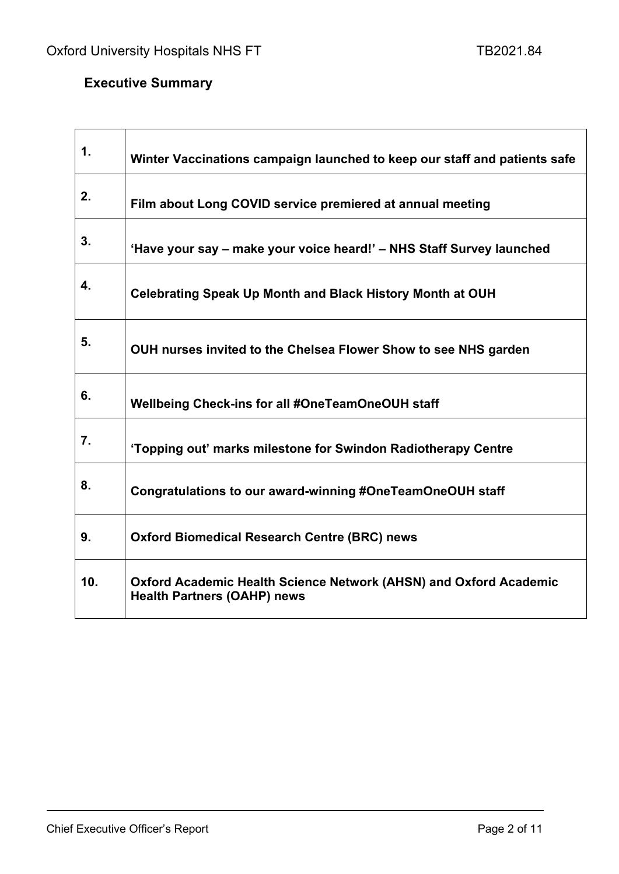7

# **Executive Summary**

 $\mathbf{r}$ 

| 1.  | Winter Vaccinations campaign launched to keep our staff and patients safe                               |
|-----|---------------------------------------------------------------------------------------------------------|
| 2.  | Film about Long COVID service premiered at annual meeting                                               |
| 3.  | 'Have your say – make your voice heard!' – NHS Staff Survey launched                                    |
| 4.  | <b>Celebrating Speak Up Month and Black History Month at OUH</b>                                        |
| 5.  | OUH nurses invited to the Chelsea Flower Show to see NHS garden                                         |
| 6.  | Wellbeing Check-ins for all #OneTeamOneOUH staff                                                        |
| 7.  | 'Topping out' marks milestone for Swindon Radiotherapy Centre                                           |
| 8.  | Congratulations to our award-winning #OneTeamOneOUH staff                                               |
| 9.  | <b>Oxford Biomedical Research Centre (BRC) news</b>                                                     |
| 10. | Oxford Academic Health Science Network (AHSN) and Oxford Academic<br><b>Health Partners (OAHP) news</b> |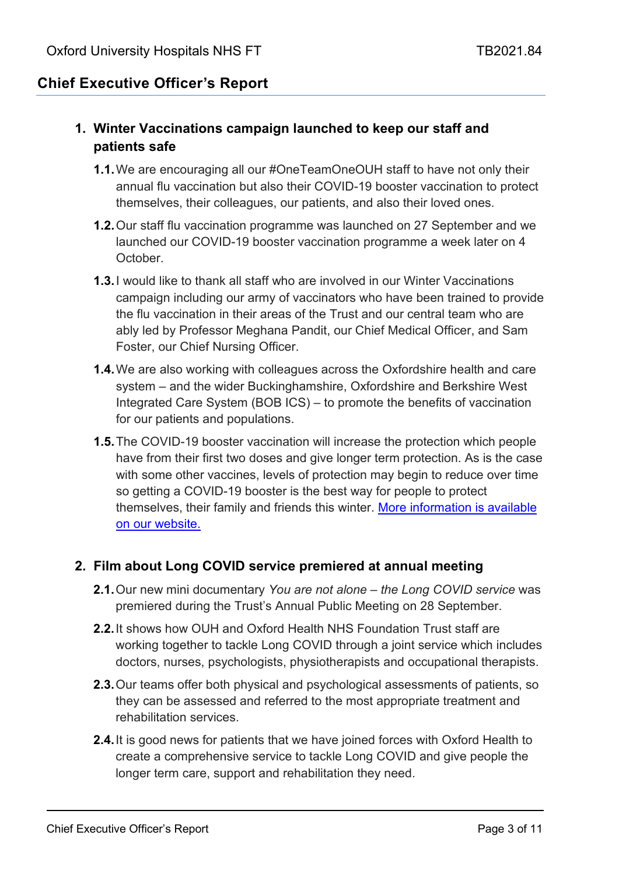# **Chief Executive Officer's Report**

### **1. Winter Vaccinations campaign launched to keep our staff and patients safe**

- **1.1.**We are encouraging all our #OneTeamOneOUH staff to have not only their annual flu vaccination but also their COVID-19 booster vaccination to protect themselves, their colleagues, our patients, and also their loved ones.
- **1.2.**Our staff flu vaccination programme was launched on 27 September and we launched our COVID-19 booster vaccination programme a week later on 4 **October**
- **1.3.**I would like to thank all staff who are involved in our Winter Vaccinations campaign including our army of vaccinators who have been trained to provide the flu vaccination in their areas of the Trust and our central team who are ably led by Professor Meghana Pandit, our Chief Medical Officer, and Sam Foster, our Chief Nursing Officer.
- **1.4.**We are also working with colleagues across the Oxfordshire health and care system – and the wider Buckinghamshire, Oxfordshire and Berkshire West Integrated Care System (BOB ICS) – to promote the benefits of vaccination for our patients and populations.
- **1.5.**The COVID-19 booster vaccination will increase the protection which people have from their first two doses and give longer term protection. As is the case with some other vaccines, levels of protection may begin to reduce over time so getting a COVID-19 booster is the best way for people to protect themselves, their family and friends this winter. [More information is available](https://www.ouh.nhs.uk/news/article.aspx?id=1657&returnurl=/news/archive.aspx&pi=0)  [on our website.](https://www.ouh.nhs.uk/news/article.aspx?id=1657&returnurl=/news/archive.aspx&pi=0)

#### **2. Film about Long COVID service premiered at annual meeting**

- **2.1.**Our new mini documentary *You are not alone – the Long COVID service* was premiered during the Trust's Annual Public Meeting on 28 September.
- **2.2.**It shows how OUH and Oxford Health NHS Foundation Trust staff are working together to tackle Long COVID through a joint service which includes doctors, nurses, psychologists, physiotherapists and occupational therapists.
- **2.3.**Our teams offer both physical and psychological assessments of patients, so they can be assessed and referred to the most appropriate treatment and rehabilitation services.
- **2.4.**It is good news for patients that we have joined forces with Oxford Health to create a comprehensive service to tackle Long COVID and give people the longer term care, support and rehabilitation they need.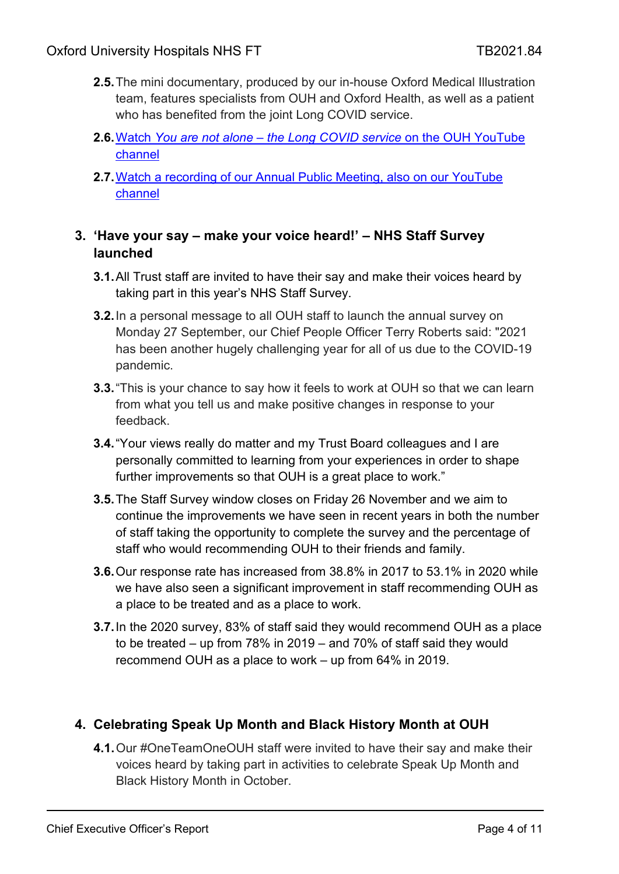- **2.5.**The mini documentary, produced by our in-house Oxford Medical Illustration team, features specialists from OUH and Oxford Health, as well as a patient who has benefited from the joint Long COVID service.
- **2.6.**Watch *You are not alone – [the Long COVID service](https://www.youtube.com/watch?v=LZKMNauuVCw)* on the OUH YouTube [channel](https://www.youtube.com/watch?v=LZKMNauuVCw)
- **2.7.**[Watch a recording of our Annual Public Meeting, also on our YouTube](https://www.youtube.com/watch?app=desktop&v=Rs58yFyZizk)  [channel](https://www.youtube.com/watch?app=desktop&v=Rs58yFyZizk)

### **3. 'Have your say – make your voice heard!' – NHS Staff Survey launched**

- **3.1.**All Trust staff are invited to have their say and make their voices heard by taking part in this year's NHS Staff Survey.
- **3.2.**In a personal message to all OUH staff to launch the annual survey on Monday 27 September, our Chief People Officer Terry Roberts said: "2021 has been another hugely challenging year for all of us due to the COVID-19 pandemic.
- **3.3.**"This is your chance to say how it feels to work at OUH so that we can learn from what you tell us and make positive changes in response to your feedback.
- **3.4.**"Your views really do matter and my Trust Board colleagues and I are personally committed to learning from your experiences in order to shape further improvements so that OUH is a great place to work."
- **3.5.**The Staff Survey window closes on Friday 26 November and we aim to continue the improvements we have seen in recent years in both the number of staff taking the opportunity to complete the survey and the percentage of staff who would recommending OUH to their friends and family.
- **3.6.**Our response rate has increased from 38.8% in 2017 to 53.1% in 2020 while we have also seen a significant improvement in staff recommending OUH as a place to be treated and as a place to work.
- **3.7.**In the 2020 survey, 83% of staff said they would recommend OUH as a place to be treated – up from 78% in 2019 – and 70% of staff said they would recommend OUH as a place to work – up from 64% in 2019.

# **4. Celebrating Speak Up Month and Black History Month at OUH**

**4.1.**Our #OneTeamOneOUH staff were invited to have their say and make their voices heard by taking part in activities to celebrate Speak Up Month and Black History Month in October.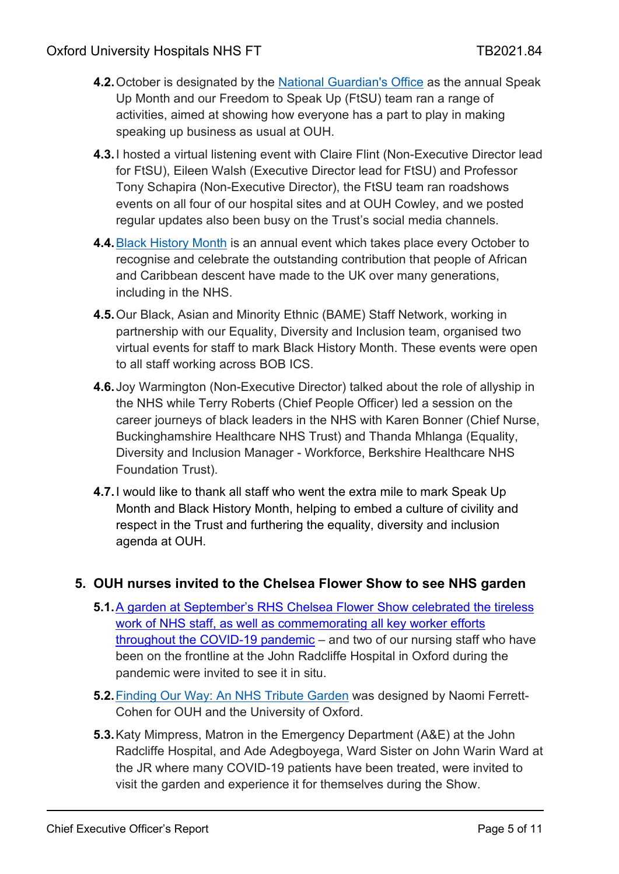- **4.2.**October is designated by the [National Guardian's Office](https://nationalguardian.org.uk/speaking-up/what-is-speaking-up/) as the annual Speak Up Month and our Freedom to Speak Up (FtSU) team ran a range of activities, aimed at showing how everyone has a part to play in making speaking up business as usual at OUH.
- **4.3.**I hosted a virtual listening event with Claire Flint (Non-Executive Director lead for FtSU), Eileen Walsh (Executive Director lead for FtSU) and Professor Tony Schapira (Non-Executive Director), the FtSU team ran roadshows events on all four of our hospital sites and at OUH Cowley, and we posted regular updates also been busy on the Trust's social media channels.
- **4.4.**[Black History Month](https://www.blackhistorymonth.org.uk/) is an annual event which takes place every October to recognise and celebrate the outstanding contribution that people of African and Caribbean descent have made to the UK over many generations, including in the NHS.
- **4.5.**Our Black, Asian and Minority Ethnic (BAME) Staff Network, working in partnership with our Equality, Diversity and Inclusion team, organised two virtual events for staff to mark Black History Month. These events were open to all staff working across BOB ICS.
- **4.6.**Joy Warmington (Non-Executive Director) talked about the role of allyship in the NHS while Terry Roberts (Chief People Officer) led a session on the career journeys of black leaders in the NHS with Karen Bonner (Chief Nurse, Buckinghamshire Healthcare NHS Trust) and Thanda Mhlanga (Equality, Diversity and Inclusion Manager - Workforce, Berkshire Healthcare NHS Foundation Trust).
- **4.7.**I would like to thank all staff who went the extra mile to mark Speak Up Month and Black History Month, helping to embed a culture of civility and respect in the Trust and furthering the equality, diversity and inclusion agenda at OUH.

#### **5. OUH nurses invited to the Chelsea Flower Show to see NHS garden**

- **5.1.**[A garden at September's RHS Chelsea Flower Show celebrated the tireless](https://www.ouh.nhs.uk/news/article.aspx?id=1643&returnurl=/news/archive.aspx&pi=0)  [work of NHS staff, as well as commemorating all key worker efforts](https://www.ouh.nhs.uk/news/article.aspx?id=1643&returnurl=/news/archive.aspx&pi=0)  [throughout the COVID-19 pandemic](https://www.ouh.nhs.uk/news/article.aspx?id=1643&returnurl=/news/archive.aspx&pi=0) – and two of our nursing staff who have been on the frontline at the John Radcliffe Hospital in Oxford during the pandemic were invited to see it in situ.
- **5.2.**[Finding Our Way: An NHS Tribute Garden](https://www.rhs.org.uk/shows-events/rhs-chelsea-flower-show/Gardens/2021/finding-our-way-an-nhs-tribute-garden) was designed by Naomi Ferrett-Cohen for OUH and the University of Oxford.
- **5.3.**Katy Mimpress, Matron in the Emergency Department (A&E) at the John Radcliffe Hospital, and Ade Adegboyega, Ward Sister on John Warin Ward at the JR where many COVID-19 patients have been treated, were invited to visit the garden and experience it for themselves during the Show.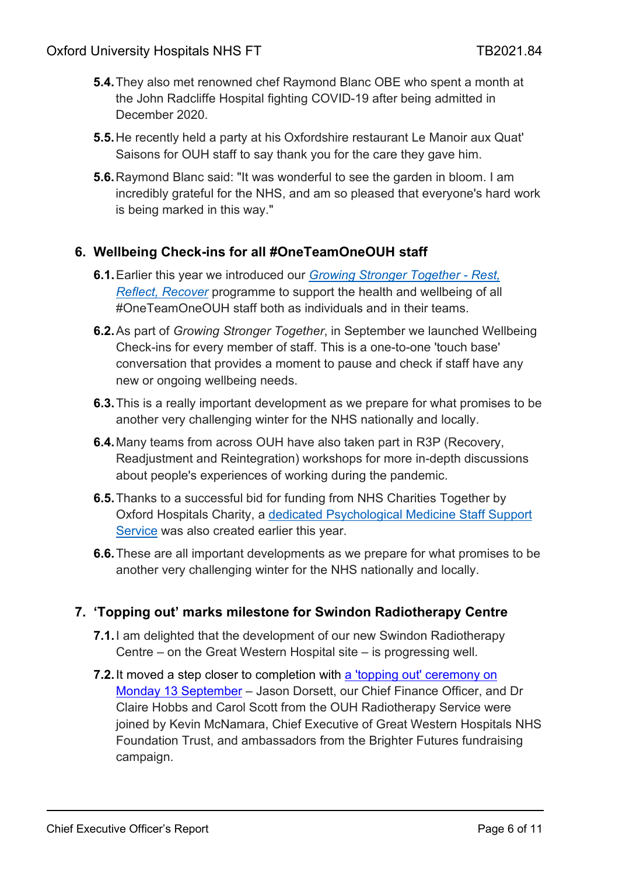- **5.4.**They also met renowned chef Raymond Blanc OBE who spent a month at the John Radcliffe Hospital fighting COVID-19 after being admitted in December 2020.
- **5.5.**He recently held a party at his Oxfordshire restaurant Le Manoir aux Quat' Saisons for OUH staff to say thank you for the care they gave him.
- **5.6.**Raymond Blanc said: "It was wonderful to see the garden in bloom. I am incredibly grateful for the NHS, and am so pleased that everyone's hard work is being marked in this way."

# **6. Wellbeing Check-ins for all #OneTeamOneOUH staff**

- **6.1.**Earlier this year we introduced our *[Growing Stronger Together -](https://www.ouh.nhs.uk/working-for-us/staff/occupational-health/staff-wellness/growing-stronger-together.aspx) Rest, [Reflect, Recover](https://www.ouh.nhs.uk/working-for-us/staff/occupational-health/staff-wellness/growing-stronger-together.aspx)* programme to support the health and wellbeing of all #OneTeamOneOUH staff both as individuals and in their teams.
- **6.2.**As part of *Growing Stronger Together*, in September we launched Wellbeing Check-ins for every member of staff. This is a one-to-one 'touch base' conversation that provides a moment to pause and check if staff have any new or ongoing wellbeing needs.
- **6.3.**This is a really important development as we prepare for what promises to be another very challenging winter for the NHS nationally and locally.
- **6.4.**Many teams from across OUH have also taken part in R3P (Recovery, Readjustment and Reintegration) workshops for more in-depth discussions about people's experiences of working during the pandemic.
- **6.5.**Thanks to a successful bid for funding from NHS Charities Together by Oxford Hospitals Charity, a [dedicated Psychological Medicine Staff Support](https://www.ouh.nhs.uk/news/article.aspx?id=1569)  [Service](https://www.ouh.nhs.uk/news/article.aspx?id=1569) was also created earlier this year.
- **6.6.**These are all important developments as we prepare for what promises to be another very challenging winter for the NHS nationally and locally.

### **7. 'Topping out' marks milestone for Swindon Radiotherapy Centre**

- **7.1.**I am delighted that the development of our new Swindon Radiotherapy Centre – on the Great Western Hospital site – is progressing well.
- **7.2.** It moved a step closer to completion with a 'topping out' ceremony on [Monday 13 September](https://www.ouh.nhs.uk/news/article.aspx?id=1631&returnurl=/news/archive.aspx&pi=1) – Jason Dorsett, our Chief Finance Officer, and Dr Claire Hobbs and Carol Scott from the OUH Radiotherapy Service were joined by Kevin McNamara, Chief Executive of Great Western Hospitals NHS Foundation Trust, and ambassadors from the Brighter Futures fundraising campaign.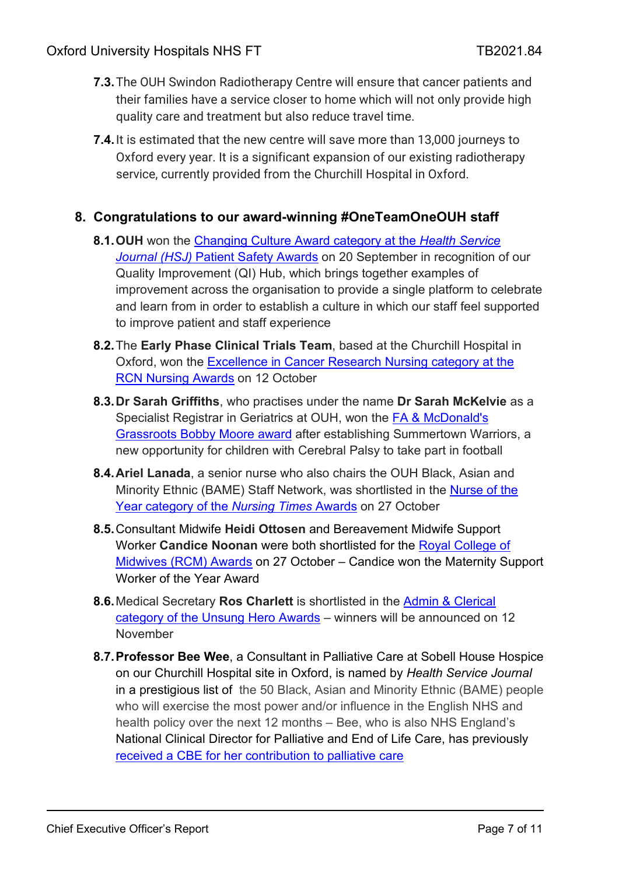- **7.3.**The OUH Swindon Radiotherapy Centre will ensure that cancer patients and their families have a service closer to home which will not only provide high quality care and treatment but also reduce travel time.
- **7.4.**It is estimated that the new centre will save more than 13,000 journeys to Oxford every year. It is a significant expansion of our existing radiotherapy service, currently provided from the Churchill Hospital in Oxford.

### **8. Congratulations to our award-winning #OneTeamOneOUH staff**

- **8.1.OUH** won the [Changing Culture Award category at the](https://www.ouh.nhs.uk/news/article.aspx?id=1641&returnurl=/news/archive.aspx&pi=0) *Health Service Journal (HSJ)* [Patient Safety Awards](https://www.ouh.nhs.uk/news/article.aspx?id=1641&returnurl=/news/archive.aspx&pi=0) on 20 September in recognition of our Quality Improvement (QI) Hub, which brings together examples of improvement across the organisation to provide a single platform to celebrate and learn from in order to establish a culture in which our staff feel supported to improve patient and staff experience
- **8.2.**The **Early Phase Clinical Trials Team**, based at the Churchill Hospital in Oxford, won the [Excellence in Cancer Research Nursing category at the](https://www.ouh.nhs.uk/news/article.aspx?id=1655&returnurl=/default.aspx&pi=0)  [RCN Nursing Awards](https://www.ouh.nhs.uk/news/article.aspx?id=1655&returnurl=/default.aspx&pi=0) on 12 October
- **8.3.Dr Sarah Griffiths**, who practises under the name **Dr Sarah McKelvie** as a Specialist Registrar in Geriatrics at OUH, won the [FA & McDonald's](https://www.ouh.nhs.uk/news/article.aspx?id=1656&returnurl=/default.aspx&pi=0)  [Grassroots Bobby Moore award](https://www.ouh.nhs.uk/news/article.aspx?id=1656&returnurl=/default.aspx&pi=0) after establishing Summertown Warriors, a new opportunity for children with Cerebral Palsy to take part in football
- **8.4.Ariel Lanada**, a senior nurse who also chairs the OUH Black, Asian and Minority Ethnic (BAME) Staff Network, was shortlisted in the [Nurse of the](https://www.ouh.nhs.uk/news/article.aspx?id=1602&returnurl=/news/archive.aspx&pi=0)  [Year category of the](https://www.ouh.nhs.uk/news/article.aspx?id=1602&returnurl=/news/archive.aspx&pi=0) *Nursing Times* Awards on 27 October
- **8.5.**Consultant Midwife **Heidi Ottosen** and Bereavement Midwife Support Worker **Candice Noonan** were both shortlisted for the [Royal College of](https://www.ouh.nhs.uk/news/article.aspx?id=1615&returnurl=/news/archive.aspx&pi=0)  [Midwives \(RCM\) Awards](https://www.ouh.nhs.uk/news/article.aspx?id=1615&returnurl=/news/archive.aspx&pi=0) on 27 October – Candice won the Maternity Support Worker of the Year Award
- **8.6.**Medical Secretary **Ros Charlett** is shortlisted in the [Admin & Clerical](https://www.ouh.nhs.uk/news/article.aspx?id=1621&returnurl=/news/archive.aspx&pi=0)  [category of the Unsung Hero Awards](https://www.ouh.nhs.uk/news/article.aspx?id=1621&returnurl=/news/archive.aspx&pi=0) – winners will be announced on 12 November
- **8.7.Professor Bee Wee**, a Consultant in Palliative Care at Sobell House Hospice on our Churchill Hospital site in Oxford, is named by *Health Service Journal*  in a prestigious list of the 50 Black, Asian and Minority Ethnic (BAME) people who will exercise the most power and/or influence in the English NHS and health policy over the next 12 months – Bee, who is also NHS England's National Clinical Director for Palliative and End of Life Care, has previously [received a CBE for her contribution to palliative care](https://www.ouh.nhs.uk/news/article.aspx?id=1147)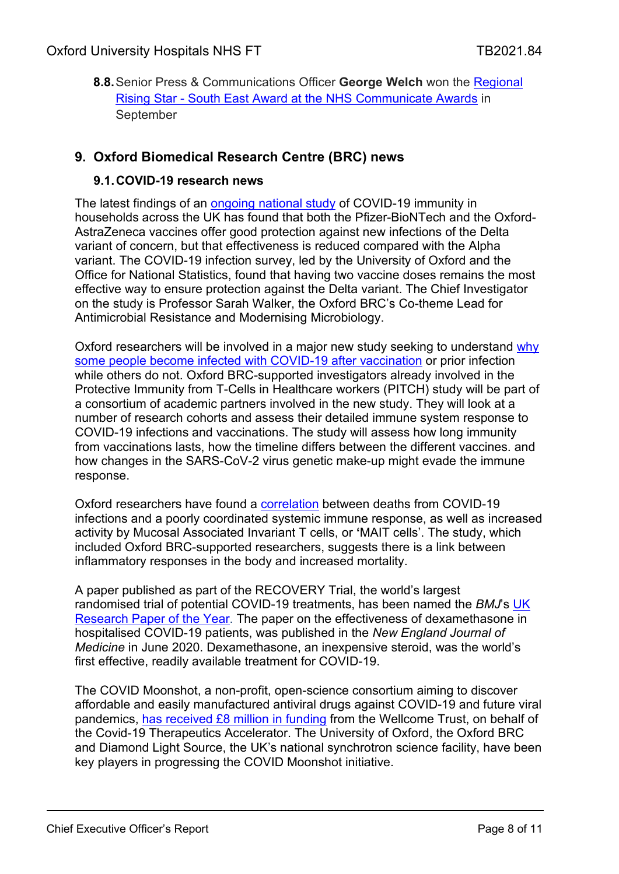**8.8.**Senior Press & Communications Officer **George Welch** won the [Regional](https://www.ouh.nhs.uk/news/article.aspx?id=1639&returnurl=/news/archive.aspx&pi=0)  Rising Star - [South East Award at the NHS Communicate Awards](https://www.ouh.nhs.uk/news/article.aspx?id=1639&returnurl=/news/archive.aspx&pi=0) in September

### **9. Oxford Biomedical Research Centre (BRC) news**

#### **9.1.COVID-19 research news**

The latest findings of an [ongoing national study](https://oxfordbrc.nihr.ac.uk/vaccination-still-best-protection-but-less-effective-against-delta-variant-study-finds/) of COVID-19 immunity in households across the UK has found that both the Pfizer-BioNTech and the Oxford-AstraZeneca vaccines offer good protection against new infections of the Delta variant of concern, but that effectiveness is reduced compared with the Alpha variant. The COVID-19 infection survey, led by the University of Oxford and the Office for National Statistics, found that having two vaccine doses remains the most effective way to ensure protection against the Delta variant. The Chief Investigator on the study is Professor Sarah Walker, the Oxford BRC's Co-theme Lead for Antimicrobial Resistance and Modernising Microbiology.

Oxford researchers will be involved in a major new study seeking to understand [why](https://oxfordbrc.nihr.ac.uk/new-study-launched-to-understand-vaccine-escape/)  [some people become infected with COVID-19 after vaccination](https://oxfordbrc.nihr.ac.uk/new-study-launched-to-understand-vaccine-escape/) or prior infection while others do not. Oxford BRC-supported investigators already involved in the Protective Immunity from T-Cells in Healthcare workers (PITCH) study will be part of a consortium of academic partners involved in the new study. They will look at a number of research cohorts and assess their detailed immune system response to COVID-19 infections and vaccinations. The study will assess how long immunity from vaccinations lasts, how the timeline differs between the different vaccines. and how changes in the SARS-CoV-2 virus genetic make-up might evade the immune response.

Oxford researchers have found a [correlation](https://oxfordbrc.nihr.ac.uk/mait-cell-activation-may-play-role-in-covid-19-deaths-study-finds/) between deaths from COVID-19 infections and a poorly coordinated systemic immune response, as well as increased activity by Mucosal Associated Invariant T cells, or **'**MAIT cells'. The study, which included Oxford BRC-supported researchers, suggests there is a link between inflammatory responses in the body and increased mortality.

A paper published as part of the RECOVERY Trial, the world's largest randomised trial of potential COVID-19 treatments, has been named the *BMJ*'s [UK](https://oxfordbrc.nihr.ac.uk/recovery-trial-paper-wins-bmjs-research-paper-of-the-year-award/)  [Research Paper of the Year.](https://oxfordbrc.nihr.ac.uk/recovery-trial-paper-wins-bmjs-research-paper-of-the-year-award/) The paper on the effectiveness of dexamethasone in hospitalised COVID-19 patients, was published in the *New England Journal of Medicine* in June 2020. Dexamethasone, an inexpensive steroid, was the world's first effective, readily available treatment for COVID-19.

The COVID Moonshot, a non-profit, open-science consortium aiming to discover affordable and easily manufactured antiviral drugs against COVID-19 and future viral pandemics, [has received £8 million in funding](https://oxfordbrc.nihr.ac.uk/moonshot-initiative-to-develop-affordable-covid-19-antivirals-gets-funding-boost/) from the Wellcome Trust, on behalf of the Covid-19 Therapeutics Accelerator. The University of Oxford, the Oxford BRC and Diamond Light Source, the UK's national synchrotron science facility, have been key players in progressing the COVID Moonshot initiative.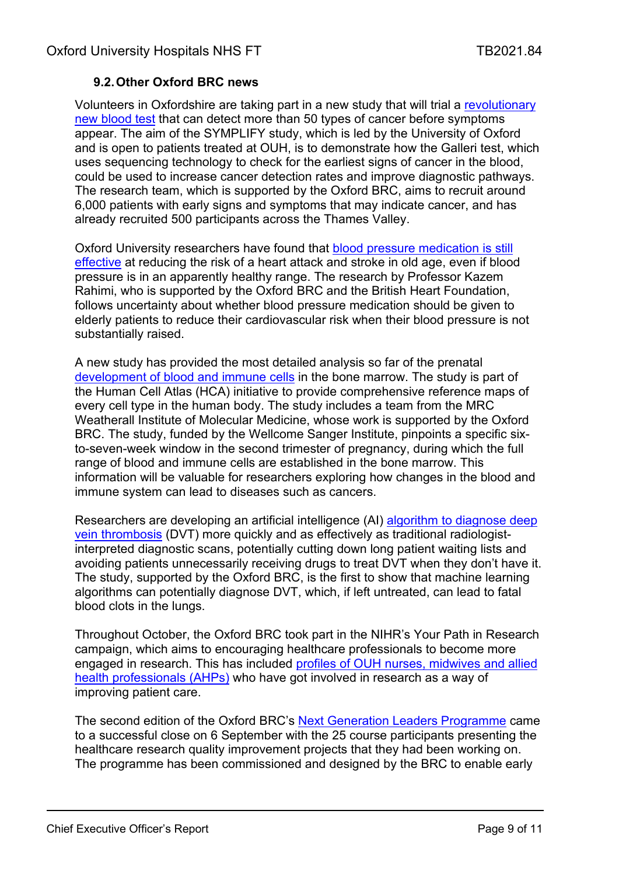### **9.2.Other Oxford BRC news**

Volunteers in Oxfordshire are taking part in a new study that will trial a [revolutionary](https://oxfordbrc.nihr.ac.uk/new-multi-cancer-early-detection-blood-test-study-opens/)  [new blood test](https://oxfordbrc.nihr.ac.uk/new-multi-cancer-early-detection-blood-test-study-opens/) that can detect more than 50 types of cancer before symptoms appear. The aim of the SYMPLIFY study, which is led by the University of Oxford and is open to patients treated at OUH, is to demonstrate how the Galleri test, which uses sequencing technology to check for the earliest signs of cancer in the blood, could be used to increase cancer detection rates and improve diagnostic pathways. The research team, which is supported by the Oxford BRC, aims to recruit around 6,000 patients with early signs and symptoms that may indicate cancer, and has already recruited 500 participants across the Thames Valley.

Oxford University researchers have found that [blood pressure medication is still](https://oxfordbrc.nihr.ac.uk/lowering-blood-pressure-still-beneficial-for-the-heart-in-old-age/)  [effective](https://oxfordbrc.nihr.ac.uk/lowering-blood-pressure-still-beneficial-for-the-heart-in-old-age/) at reducing the risk of a heart attack and stroke in old age, even if blood pressure is in an apparently healthy range. The research by Professor Kazem Rahimi, who is supported by the Oxford BRC and the British Heart Foundation, follows uncertainty about whether blood pressure medication should be given to elderly patients to reduce their cardiovascular risk when their blood pressure is not substantially raised.

A new study has provided the most detailed analysis so far of the prenatal [development of blood and immune cells](https://oxfordbrc.nihr.ac.uk/new-atlas-reveals-pre-birth-development-of-blood-cells-in-bone-marrow/) in the bone marrow. The study is part of the Human Cell Atlas (HCA) initiative to provide comprehensive reference maps of every cell type in the human body. The study includes a team from the MRC Weatherall Institute of Molecular Medicine, whose work is supported by the Oxford BRC. The study, funded by the Wellcome Sanger Institute, pinpoints a specific sixto-seven-week window in the second trimester of pregnancy, during which the full range of blood and immune cells are established in the bone marrow. This information will be valuable for researchers exploring how changes in the blood and immune system can lead to diseases such as cancers.

Researchers are developing an artificial intelligence (AI) [algorithm to diagnose deep](https://oxfordbrc.nihr.ac.uk/researchers-develop-algorithm-to-diagnose-deep-vein-thrombosis/)  [vein thrombosis](https://oxfordbrc.nihr.ac.uk/researchers-develop-algorithm-to-diagnose-deep-vein-thrombosis/) (DVT) more quickly and as effectively as traditional radiologistinterpreted diagnostic scans, potentially cutting down long patient waiting lists and avoiding patients unnecessarily receiving drugs to treat DVT when they don't have it. The study, supported by the Oxford BRC, is the first to show that machine learning algorithms can potentially diagnose DVT, which, if left untreated, can lead to fatal blood clots in the lungs.

Throughout October, the Oxford BRC took part in the NIHR's Your Path in Research campaign, which aims to encouraging healthcare professionals to become more engaged in research. This has included [profiles of OUH nurses, midwives and allied](https://oxfordbrc.nihr.ac.uk/your-path-in-research-joanna-snowball/)  [health professionals \(AHPs\)](https://oxfordbrc.nihr.ac.uk/your-path-in-research-joanna-snowball/) who have got involved in research as a way of improving patient care.

The second edition of the Oxford BRC's [Next Generation Leaders Programme](https://oxfordbrc.nihr.ac.uk/next-generation-of-healthcare-leaders-showcase-projects/) came to a successful close on 6 September with the 25 course participants presenting the healthcare research quality improvement projects that they had been working on. The programme has been commissioned and designed by the BRC to enable early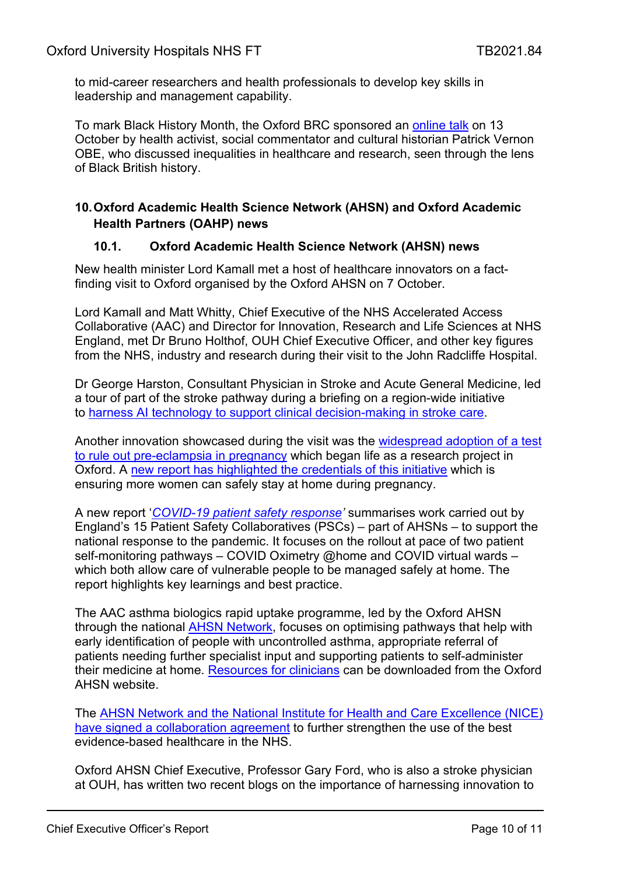to mid-career researchers and health professionals to develop key skills in leadership and management capability.

To mark Black History Month, the Oxford BRC sponsored an [online talk](https://oxfordbrc.nihr.ac.uk/brc-event/black-history-month-online-talk-patrick-vernon-inequalities-in-healthcare-and-research/) on 13 October by health activist, social commentator and cultural historian Patrick Vernon OBE, who discussed inequalities in healthcare and research, seen through the lens of Black British history.

#### **10.Oxford Academic Health Science Network (AHSN) and Oxford Academic Health Partners (OAHP) news**

#### **10.1. Oxford Academic Health Science Network (AHSN) news**

New health minister Lord Kamall met a host of healthcare innovators on a factfinding visit to Oxford organised by the Oxford AHSN on 7 October.

Lord Kamall and Matt Whitty, Chief Executive of the NHS Accelerated Access Collaborative (AAC) and Director for Innovation, Research and Life Sciences at NHS England, met Dr Bruno Holthof, OUH Chief Executive Officer, and other key figures from the NHS, industry and research during their visit to the John Radcliffe Hospital.

Dr George Harston, Consultant Physician in Stroke and Acute General Medicine, led a tour of part of the stroke pathway during a briefing on a region-wide initiative to [harness AI technology to support clinical decision-making in stroke care.](https://www.oxfordahsn.org/our-work/covid-19/covid-19-case-studies/ai-technology-speeds-up-stroke-care-and-reduces-costs/)

Another innovation showcased during the visit was the [widespread adoption of a test](https://www.oxfordahsn.org/our-work/strategic-and-industry-partnerships/the-innovation-exchange/spread-and-adoption-of-supported-innovations/pre-eclampsia/)  [to rule out pre-eclampsia in pregnancy](https://www.oxfordahsn.org/our-work/strategic-and-industry-partnerships/the-innovation-exchange/spread-and-adoption-of-supported-innovations/pre-eclampsia/) which began life as a research project in Oxford. A [new report has highlighted the credentials of this initiative](https://www.oxfordahsn.org/wp-content/uploads/2021/07/PlGF_CaseStudy_210720-FINAL.pdf) which is ensuring more women can safely stay at home during pregnancy.

A new report '*[COVID-19 patient safety response'](https://www.ahsnnetwork.com/report-highlights-successful-roll-out-of-self-monitoring-pathways)* summarises work carried out by England's 15 Patient Safety Collaboratives (PSCs) – part of AHSNs – to support the national response to the pandemic. It focuses on the rollout at pace of two patient self-monitoring pathways – COVID Oximetry @home and COVID virtual wards – which both allow care of vulnerable people to be managed safely at home. The report highlights key learnings and best practice.

The AAC asthma biologics rapid uptake programme, led by the Oxford AHSN through the national [AHSN Network,](https://www.ahsnnetwork.com/accelerated-access-collaborative) focuses on optimising pathways that help with early identification of people with uncontrolled asthma, appropriate referral of patients needing further specialist input and supporting patients to self-administer their medicine at home. [Resources for clinicians](https://www.oxfordahsn.org/our-work/asthma-biologics-toolkit/) can be downloaded from the Oxford AHSN website.

The [AHSN Network and the National Institute for Health and Care Excellence \(NICE\)](https://www.ahsnnetwork.com/nice-collaboration)  [have signed a collaboration agreement](https://www.ahsnnetwork.com/nice-collaboration) to further strengthen the use of the best evidence-based healthcare in the NHS.

Oxford AHSN Chief Executive, Professor Gary Ford, who is also a stroke physician at OUH, has written two recent blogs on the importance of harnessing innovation to